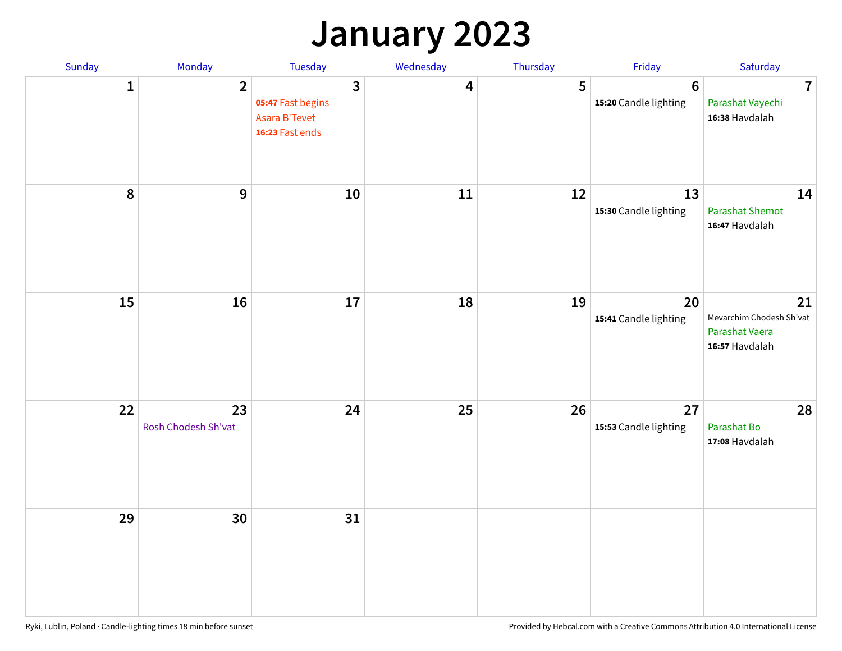## **January 2023**

| Sunday    | Monday                    | Tuesday                                                                        | Wednesday | Thursday | Friday                                   | Saturday                                                           |
|-----------|---------------------------|--------------------------------------------------------------------------------|-----------|----------|------------------------------------------|--------------------------------------------------------------------|
| 1         | $\overline{2}$            | $\overline{3}$<br>05:47 Fast begins<br><b>Asara B'Tevet</b><br>16:23 Fast ends | 4         | 5        | $6\phantom{1}6$<br>15:20 Candle lighting | $\overline{7}$<br>Parashat Vayechi<br>16:38 Havdalah               |
| $\pmb{8}$ | 9                         | 10                                                                             | 11        | 12       | 13<br>15:30 Candle lighting              | 14<br><b>Parashat Shemot</b><br>16:47 Havdalah                     |
| 15        | 16                        | 17                                                                             | 18        | 19       | 20<br>15:41 Candle lighting              | 21<br>Mevarchim Chodesh Sh'vat<br>Parashat Vaera<br>16:57 Havdalah |
| 22        | 23<br>Rosh Chodesh Sh'vat | 24                                                                             | 25        | 26       | 27<br>15:53 Candle lighting              | 28<br>Parashat Bo<br>17:08 Havdalah                                |
| 29        | 30                        | 31                                                                             |           |          |                                          |                                                                    |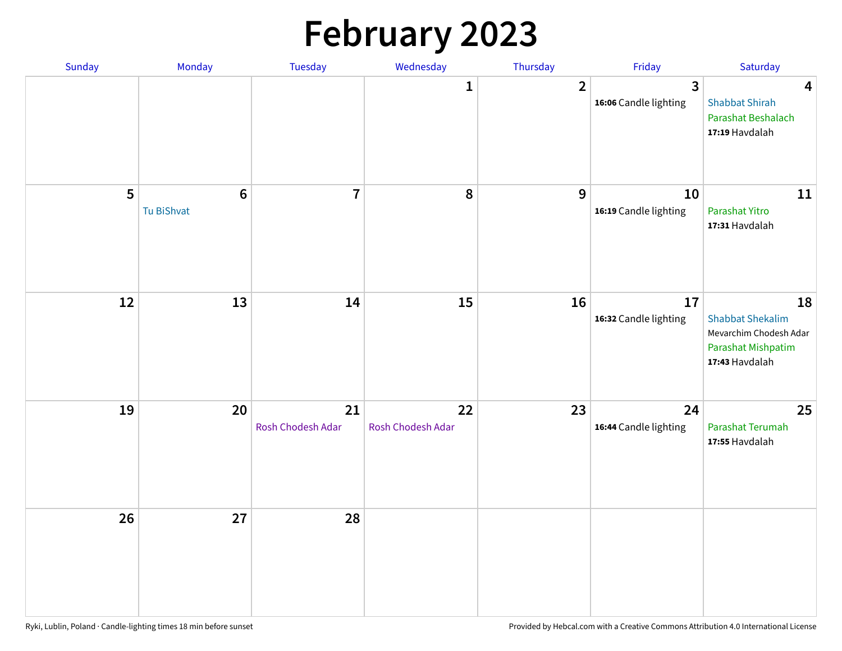# **February 2023**

| Sunday | Monday                        | Tuesday                 | Wednesday               | Thursday       | Friday                                  | Saturday                                                                                        |
|--------|-------------------------------|-------------------------|-------------------------|----------------|-----------------------------------------|-------------------------------------------------------------------------------------------------|
|        |                               |                         | $\mathbf{1}$            | $\overline{2}$ | $\overline{3}$<br>16:06 Candle lighting | $\overline{\mathbf{4}}$<br><b>Shabbat Shirah</b><br>Parashat Beshalach<br>17:19 Havdalah        |
| 5      | $6\phantom{1}6$<br>Tu BiShvat | $\overline{7}$          | 8                       | 9              | 10<br>16:19 Candle lighting             | 11<br>Parashat Yitro<br>17:31 Havdalah                                                          |
| 12     | 13                            | 14                      | 15                      | 16             | 17<br>16:32 Candle lighting             | 18<br><b>Shabbat Shekalim</b><br>Mevarchim Chodesh Adar<br>Parashat Mishpatim<br>17:43 Havdalah |
| 19     | 20                            | 21<br>Rosh Chodesh Adar | 22<br>Rosh Chodesh Adar | 23             | 24<br>16:44 Candle lighting             | 25<br>Parashat Terumah<br>17:55 Havdalah                                                        |
| 26     | 27                            | 28                      |                         |                |                                         |                                                                                                 |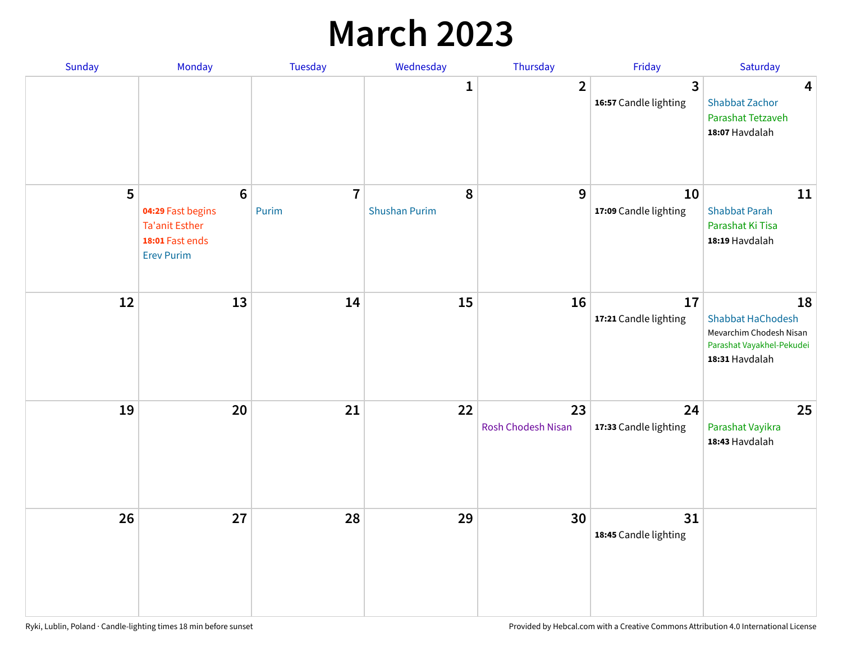## **March 2023**

| Sunday | Monday                                                                                               | Tuesday                 | Wednesday                 | Thursday                 | Friday                      | Saturday                                                                                                 |
|--------|------------------------------------------------------------------------------------------------------|-------------------------|---------------------------|--------------------------|-----------------------------|----------------------------------------------------------------------------------------------------------|
|        |                                                                                                      |                         | 1                         | $\overline{2}$           | 3<br>16:57 Candle lighting  | $\overline{\mathbf{4}}$<br><b>Shabbat Zachor</b><br>Parashat Tetzaveh<br>18:07 Havdalah                  |
| 5      | $6\phantom{a}$<br>04:29 Fast begins<br><b>Ta'anit Esther</b><br>18:01 Fast ends<br><b>Erev Purim</b> | $\overline{7}$<br>Purim | 8<br><b>Shushan Purim</b> | 9                        | 10<br>17:09 Candle lighting | 11<br><b>Shabbat Parah</b><br>Parashat Ki Tisa<br>18:19 Havdalah                                         |
| 12     | 13                                                                                                   | 14                      | 15                        | 16                       | 17<br>17:21 Candle lighting | 18<br><b>Shabbat HaChodesh</b><br>Mevarchim Chodesh Nisan<br>Parashat Vayakhel-Pekudei<br>18:31 Havdalah |
| 19     | 20                                                                                                   | 21                      | 22                        | 23<br>Rosh Chodesh Nisan | 24<br>17:33 Candle lighting | 25<br>Parashat Vayikra<br>18:43 Havdalah                                                                 |
| 26     | 27                                                                                                   | 28                      | 29                        | 30                       | 31<br>18:45 Candle lighting |                                                                                                          |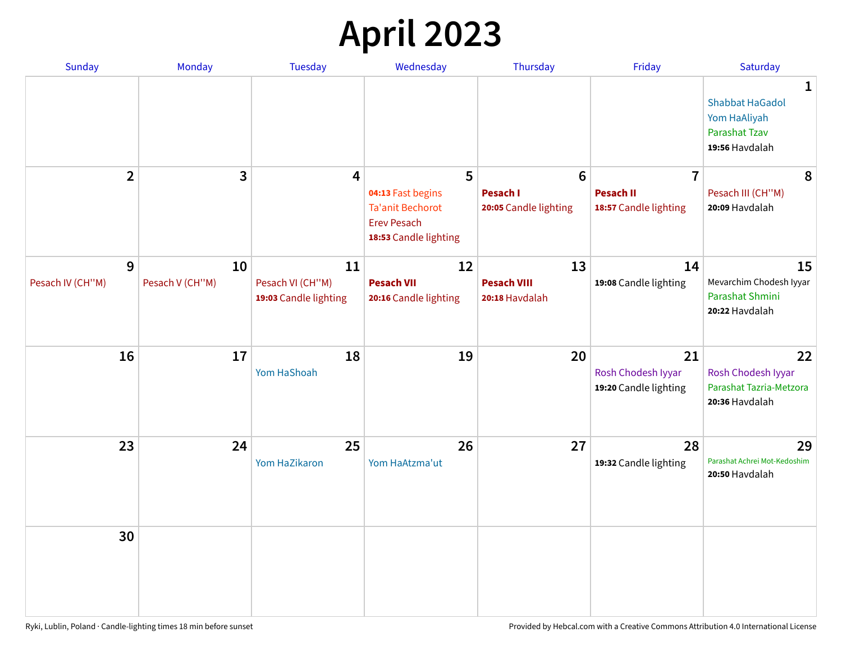# **April 2023**

| Sunday           | Monday          | <b>Tuesday</b>                            | Wednesday                                                                                   | Thursday                                 | Friday                                            | Saturday                                                                              |
|------------------|-----------------|-------------------------------------------|---------------------------------------------------------------------------------------------|------------------------------------------|---------------------------------------------------|---------------------------------------------------------------------------------------|
|                  |                 |                                           |                                                                                             |                                          |                                                   | 1<br><b>Shabbat HaGadol</b><br>Yom HaAliyah<br><b>Parashat Tzav</b><br>19:56 Havdalah |
| $\overline{2}$   | 3               | 4                                         | 5                                                                                           | $6\phantom{1}6$                          | $\overline{7}$                                    | 8                                                                                     |
|                  |                 |                                           | 04:13 Fast begins<br><b>Ta'anit Bechorot</b><br><b>Erev Pesach</b><br>18:53 Candle lighting | <b>Pesach I</b><br>20:05 Candle lighting | <b>Pesach II</b><br>18:57 Candle lighting         | Pesach III (CH"M)<br>20:09 Havdalah                                                   |
| 9                | 10              | 11                                        | 12                                                                                          | 13                                       | 14                                                | 15                                                                                    |
| Pesach IV (CH"M) | Pesach V (CH"M) | Pesach VI (CH"M)<br>19:03 Candle lighting | <b>Pesach VII</b><br>20:16 Candle lighting                                                  | <b>Pesach VIII</b><br>20:18 Havdalah     | 19:08 Candle lighting                             | Mevarchim Chodesh Iyyar<br>Parashat Shmini<br>20:22 Havdalah                          |
| 16               | 17              | 18<br>Yom HaShoah                         | 19                                                                                          | 20                                       | 21<br>Rosh Chodesh Iyyar<br>19:20 Candle lighting | 22<br>Rosh Chodesh Iyyar<br>Parashat Tazria-Metzora<br>20:36 Havdalah                 |
| 23               | 24              | 25<br>Yom HaZikaron                       | 26<br>Yom HaAtzma'ut                                                                        | 27                                       | 28<br>19:32 Candle lighting                       | 29<br>Parashat Achrei Mot-Kedoshim<br>20:50 Havdalah                                  |
| 30               |                 |                                           |                                                                                             |                                          |                                                   |                                                                                       |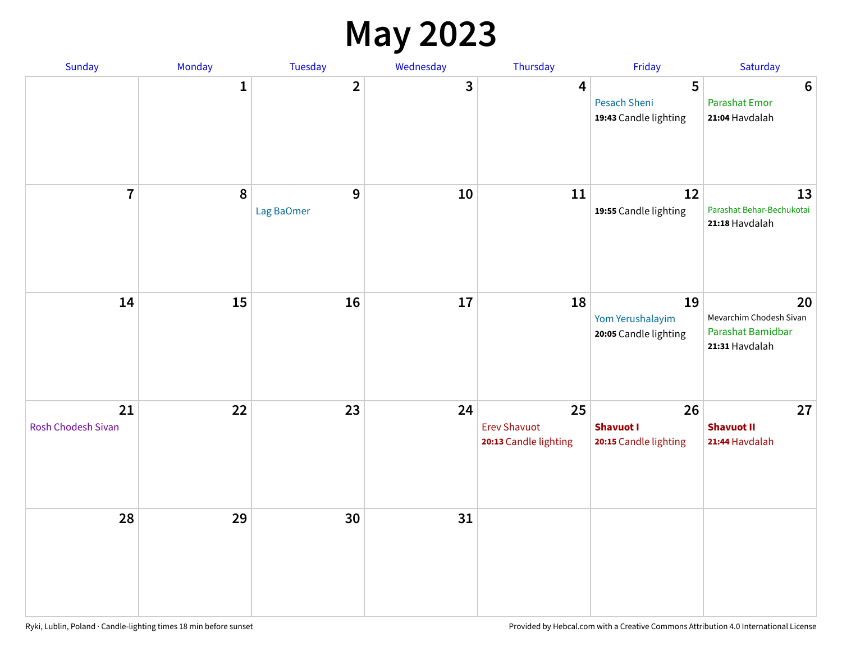### **May 2023**

| Sunday                          | Monday       | Tuesday                 | Wednesday | Thursday                                           | Friday                                            | Saturday                                                             |
|---------------------------------|--------------|-------------------------|-----------|----------------------------------------------------|---------------------------------------------------|----------------------------------------------------------------------|
|                                 | $\mathbf{1}$ | $\overline{\mathbf{2}}$ | 3         | $\overline{\mathbf{4}}$                            | 5<br><b>Pesach Sheni</b><br>19:43 Candle lighting | $\boldsymbol{6}$<br><b>Parashat Emor</b><br>21:04 Havdalah           |
| $\overline{7}$                  | $\pmb{8}$    | 9<br>Lag BaOmer         | 10        | 11                                                 | 12<br>19:55 Candle lighting                       | 13<br>Parashat Behar-Bechukotai<br>21:18 Havdalah                    |
| 14                              | 15           | 16                      | $17\,$    | 18                                                 | 19<br>Yom Yerushalayim<br>20:05 Candle lighting   | 20<br>Mevarchim Chodesh Sivan<br>Parashat Bamidbar<br>21:31 Havdalah |
| 21<br><b>Rosh Chodesh Sivan</b> | 22           | 23                      | 24        | 25<br><b>Erev Shavuot</b><br>20:13 Candle lighting | 26<br><b>Shavuot I</b><br>20:15 Candle lighting   | 27<br><b>Shavuot II</b><br>21:44 Havdalah                            |
| 28                              | 29           | 30                      | 31        |                                                    |                                                   |                                                                      |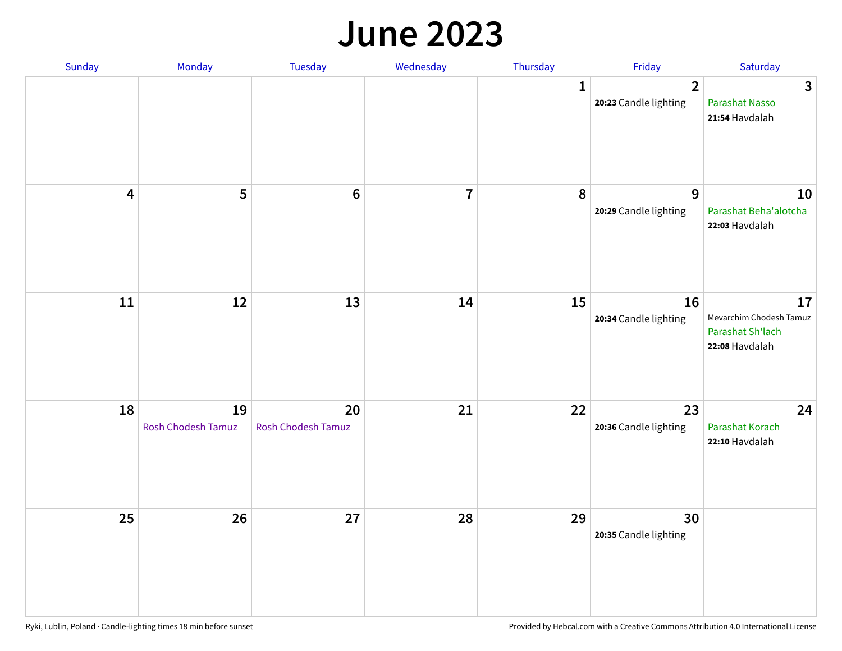#### **June 2023**

| Sunday                  | Monday                   | Tuesday                  | Wednesday               | Thursday     | Friday                                  | Saturday                                                            |
|-------------------------|--------------------------|--------------------------|-------------------------|--------------|-----------------------------------------|---------------------------------------------------------------------|
|                         |                          |                          |                         | $\mathbf{1}$ | $\overline{2}$<br>20:23 Candle lighting | $\mathbf{3}$<br><b>Parashat Nasso</b><br>21:54 Havdalah             |
| $\overline{\mathbf{4}}$ | $\overline{\mathbf{5}}$  | $6\phantom{1}6$          | $\overline{\mathbf{7}}$ | 8            | $\mathbf{9}$<br>20:29 Candle lighting   | 10<br>Parashat Beha'alotcha<br>22:03 Havdalah                       |
| $11\,$                  | 12                       | 13                       | 14                      | 15           | 16<br>20:34 Candle lighting             | 17<br>Mevarchim Chodesh Tamuz<br>Parashat Sh'lach<br>22:08 Havdalah |
| 18                      | 19<br>Rosh Chodesh Tamuz | 20<br>Rosh Chodesh Tamuz | 21                      | 22           | 23<br>20:36 Candle lighting             | 24<br>Parashat Korach<br>22:10 Havdalah                             |
| 25                      | 26                       | 27                       | 28                      | 29           | 30<br>20:35 Candle lighting             |                                                                     |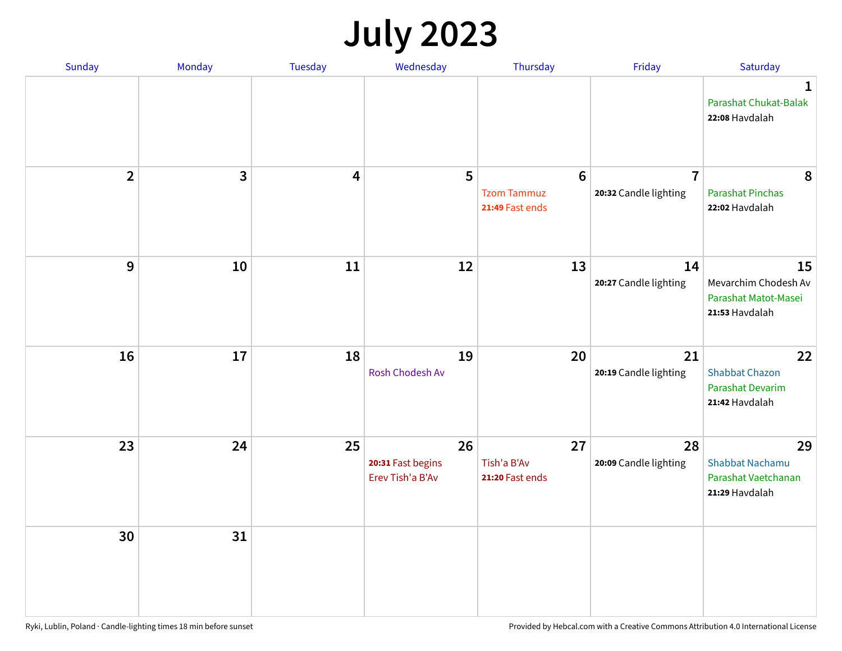# **July 2023**

| Sunday                  | Monday       | <b>Tuesday</b> | Wednesday                                   | Thursday                                                 | Friday                                  | Saturday                                                              |
|-------------------------|--------------|----------------|---------------------------------------------|----------------------------------------------------------|-----------------------------------------|-----------------------------------------------------------------------|
|                         |              |                |                                             |                                                          |                                         | $\mathbf 1$<br>Parashat Chukat-Balak<br>22:08 Havdalah                |
| $\overline{\mathbf{2}}$ | $\mathbf{3}$ | 4              | 5                                           | $6\phantom{1}6$<br><b>Tzom Tammuz</b><br>21:49 Fast ends | $\overline{7}$<br>20:32 Candle lighting | 8<br><b>Parashat Pinchas</b><br>22:02 Havdalah                        |
| 9                       | 10           | 11             | 12                                          | 13                                                       | 14<br>20:27 Candle lighting             | 15<br>Mevarchim Chodesh Av<br>Parashat Matot-Masei<br>21:53 Havdalah  |
| 16                      | 17           | 18             | 19<br>Rosh Chodesh Av                       | 20                                                       | 21<br>20:19 Candle lighting             | 22<br><b>Shabbat Chazon</b><br>Parashat Devarim<br>21:42 Havdalah     |
| 23                      | 24           | 25             | 26<br>20:31 Fast begins<br>Erev Tish'a B'Av | 27<br>Tish'a B'Av<br>21:20 Fast ends                     | 28<br>20:09 Candle lighting             | 29<br><b>Shabbat Nachamu</b><br>Parashat Vaetchanan<br>21:29 Havdalah |
| 30                      | 31           |                |                                             |                                                          |                                         |                                                                       |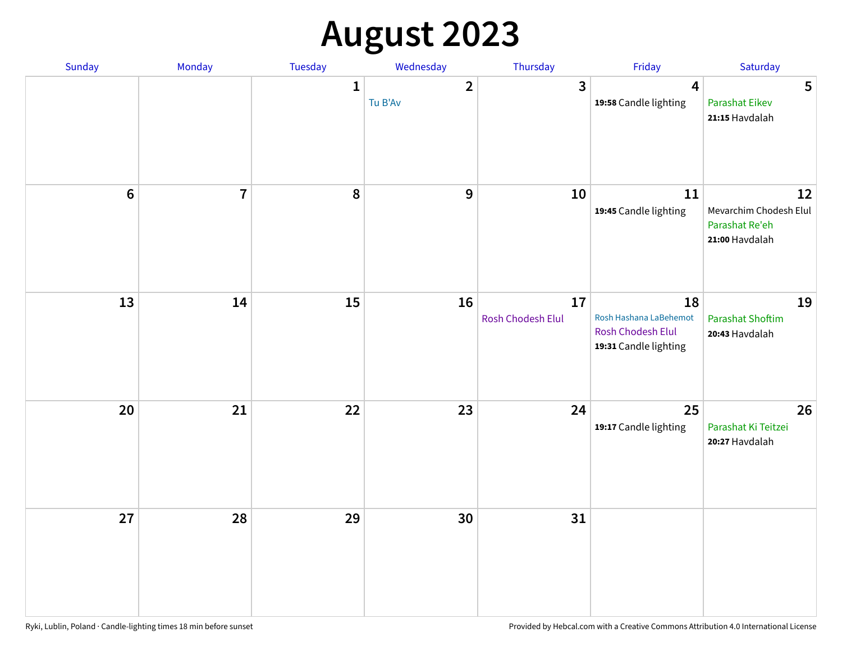# **August 2023**

| Sunday         | Monday         | Tuesday      | Wednesday               | Thursday                | Friday                                                                     | Saturday                                                         |
|----------------|----------------|--------------|-------------------------|-------------------------|----------------------------------------------------------------------------|------------------------------------------------------------------|
|                |                | $\mathbf{1}$ | $\mathbf{2}$<br>Tu B'Av | $\overline{\mathbf{3}}$ | $\overline{4}$<br>19:58 Candle lighting                                    | 5<br><b>Parashat Eikev</b><br>21:15 Havdalah                     |
| $6\phantom{a}$ | $\overline{7}$ | 8            | $\mathbf{9}$            | 10                      | 11<br>19:45 Candle lighting                                                | 12<br>Mevarchim Chodesh Elul<br>Parashat Re'eh<br>21:00 Havdalah |
| 13             | 14             | 15           | 16                      | 17<br>Rosh Chodesh Elul | 18<br>Rosh Hashana LaBehemot<br>Rosh Chodesh Elul<br>19:31 Candle lighting | 19<br><b>Parashat Shoftim</b><br>20:43 Havdalah                  |
| 20             | 21             | 22           | 23                      | 24                      | 25<br>19:17 Candle lighting                                                | 26<br>Parashat Ki Teitzei<br>20:27 Havdalah                      |
| 27             | 28             | 29           | 30                      | 31                      |                                                                            |                                                                  |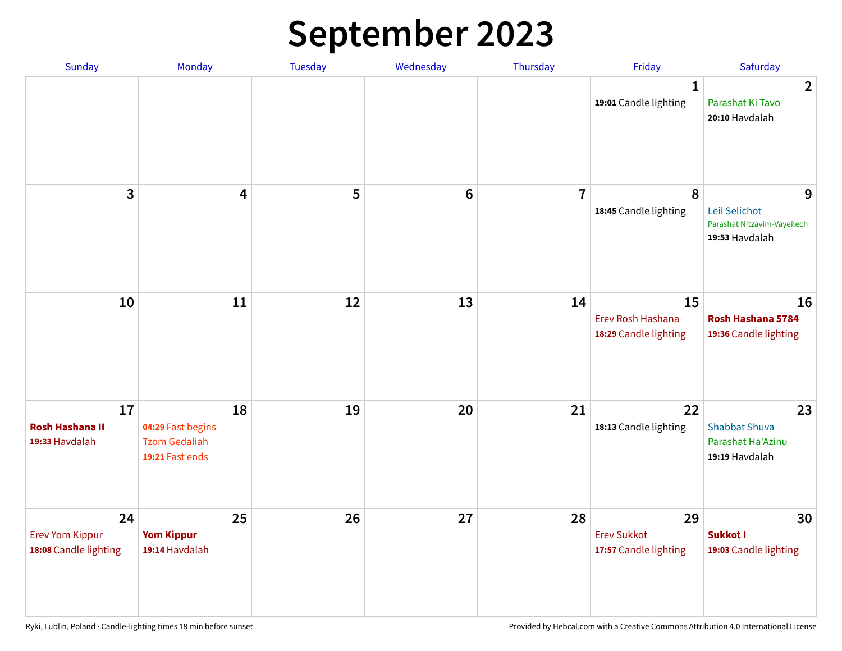# **September 2023**

| Sunday                                                | Monday                                                             | <b>Tuesday</b> | Wednesday       | Thursday       | Friday                                            | Saturday                                                            |
|-------------------------------------------------------|--------------------------------------------------------------------|----------------|-----------------|----------------|---------------------------------------------------|---------------------------------------------------------------------|
|                                                       |                                                                    |                |                 |                | 1<br>19:01 Candle lighting                        | $\overline{2}$<br>Parashat Ki Tavo<br>20:10 Havdalah                |
| 3                                                     | $\overline{\mathbf{4}}$                                            | 5              | $6\phantom{1}6$ | $\overline{7}$ | 8<br>18:45 Candle lighting                        | 9<br>Leil Selichot<br>Parashat Nitzavim-Vayeilech<br>19:53 Havdalah |
| 10                                                    | 11                                                                 | 12             | 13              | 14             | 15<br>Erev Rosh Hashana<br>18:29 Candle lighting  | 16<br>Rosh Hashana 5784<br>19:36 Candle lighting                    |
| 17<br><b>Rosh Hashana II</b><br>19:33 Havdalah        | 18<br>04:29 Fast begins<br><b>Tzom Gedaliah</b><br>19:21 Fast ends | 19             | 20              | 21             | 22<br>18:13 Candle lighting                       | 23<br><b>Shabbat Shuva</b><br>Parashat Ha'Azinu<br>19:19 Havdalah   |
| 24<br><b>Erev Yom Kippur</b><br>18:08 Candle lighting | 25<br><b>Yom Kippur</b><br>19:14 Havdalah                          | 26             | 27              | 28             | 29<br><b>Erev Sukkot</b><br>17:57 Candle lighting | 30<br>Sukkot I<br>19:03 Candle lighting                             |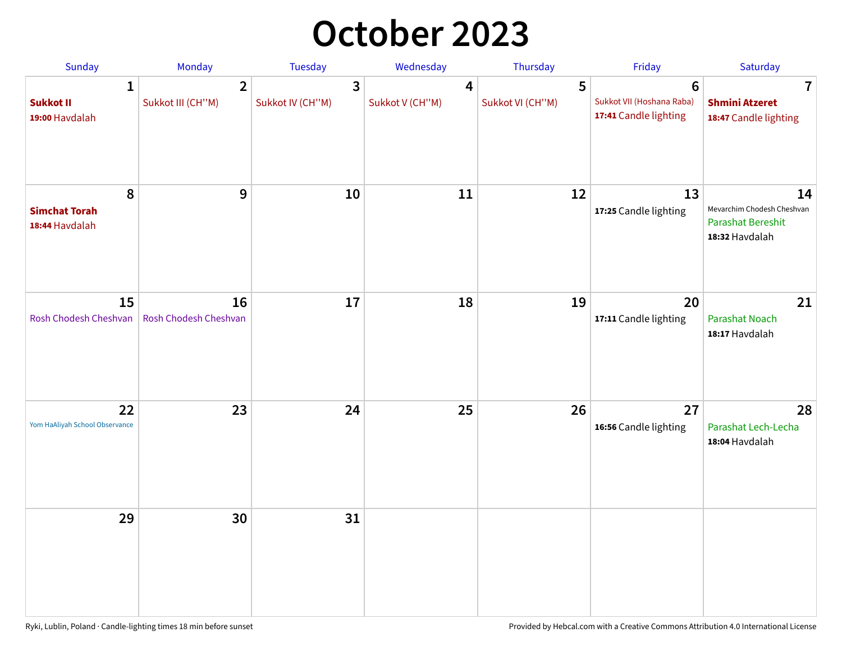## **October 2023**

| Sunday                                             | <b>Monday</b>                       | <b>Tuesday</b>        | Wednesday            | Thursday              | Friday                                                               | Saturday                                                                       |
|----------------------------------------------------|-------------------------------------|-----------------------|----------------------|-----------------------|----------------------------------------------------------------------|--------------------------------------------------------------------------------|
| $\mathbf{1}$<br><b>Sukkot II</b><br>19:00 Havdalah | $\overline{2}$<br>Sukkot III (CH"M) | 3<br>Sukkot IV (CH"M) | 4<br>Sukkot V (CH"M) | 5<br>Sukkot VI (CH"M) | $6\phantom{1}$<br>Sukkot VII (Hoshana Raba)<br>17:41 Candle lighting | 7<br><b>Shmini Atzeret</b><br>18:47 Candle lighting                            |
| 8<br><b>Simchat Torah</b><br>18:44 Havdalah        | $\boldsymbol{9}$                    | 10                    | 11                   | 12                    | 13<br>17:25 Candle lighting                                          | 14<br>Mevarchim Chodesh Cheshvan<br><b>Parashat Bereshit</b><br>18:32 Havdalah |
| 15<br>Rosh Chodesh Cheshvan                        | 16<br>Rosh Chodesh Cheshvan         | 17                    | 18                   | 19                    | 20<br>17:11 Candle lighting                                          | 21<br>Parashat Noach<br>18:17 Havdalah                                         |
| 22<br>Yom HaAliyah School Observance               | 23                                  | 24                    | 25                   | 26                    | 27<br>16:56 Candle lighting                                          | 28<br>Parashat Lech-Lecha<br>18:04 Havdalah                                    |
| 29                                                 | 30                                  | 31                    |                      |                       |                                                                      |                                                                                |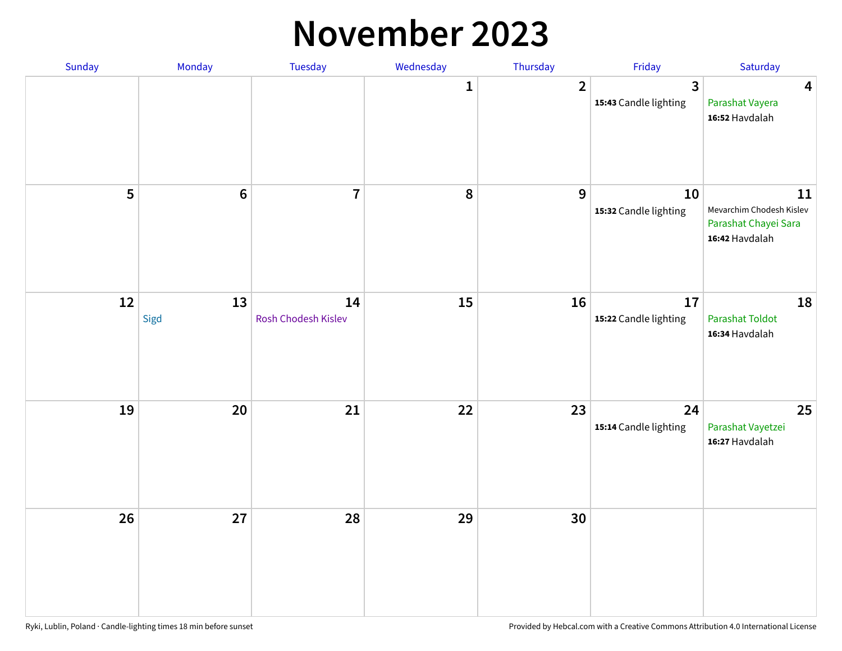#### **November 2023**

| Sunday | Monday     | Tuesday                   | Wednesday    | Thursday       | Friday                      | Saturday                                                                 |
|--------|------------|---------------------------|--------------|----------------|-----------------------------|--------------------------------------------------------------------------|
|        |            |                           | $\mathbf{1}$ | $\overline{2}$ | 3<br>15:43 Candle lighting  | $\overline{\mathbf{4}}$<br>Parashat Vayera<br>16:52 Havdalah             |
| 5      | $\bf 6$    | $\overline{7}$            | ${\bf 8}$    | 9              | 10<br>15:32 Candle lighting | 11<br>Mevarchim Chodesh Kislev<br>Parashat Chayei Sara<br>16:42 Havdalah |
| 12     | 13<br>Sigd | 14<br>Rosh Chodesh Kislev | 15           | 16             | 17<br>15:22 Candle lighting | 18<br>Parashat Toldot<br>16:34 Havdalah                                  |
| 19     | 20         | 21                        | 22           | 23             | 24<br>15:14 Candle lighting | 25<br>Parashat Vayetzei<br>16:27 Havdalah                                |
| 26     | 27         | 28                        | 29           | 30             |                             |                                                                          |